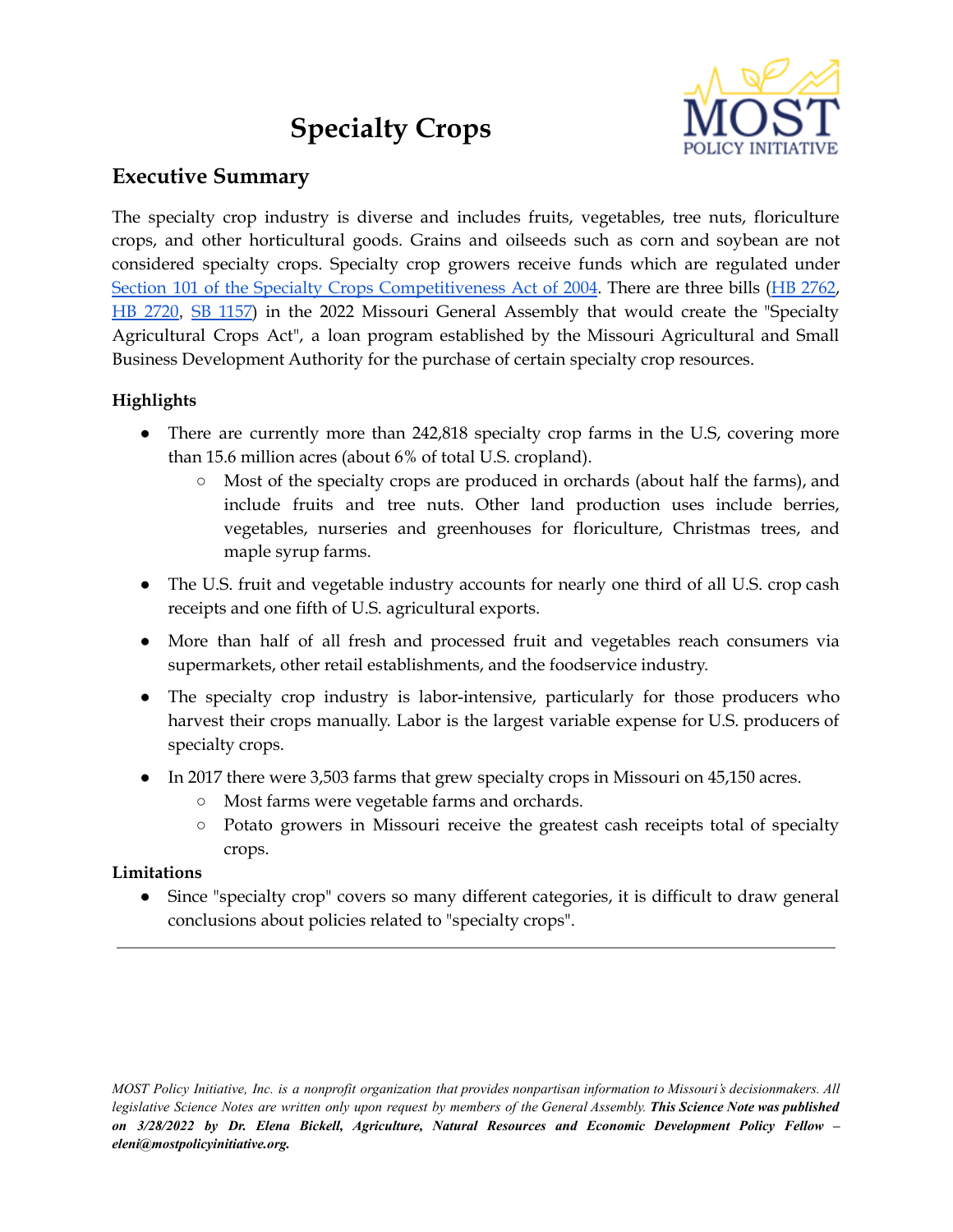# **Specialty Crops**



## **Executive Summary**

The specialty crop industry is diverse and includes fruits, vegetables, tree nuts, floriculture crops, and other horticultural goods. Grains and oilseeds such as corn and soybean are not considered specialty crops. Specialty crop growers receive funds which are regulated under Section 101 of the Specialty Crops [Competitiveness](http://uscode.house.gov/view.xhtml?req=specialty+crop+block+grants&f=treesort&fq=true&num=0&hl=true&edition=prelim&granuleId=USC-prelim-title7-section1621) Act of 2004. There are three bills (HB [2762](https://house.mo.gov/Bill.aspx?bill=HB2762&year=2022&code=R), HB [2720](https://house.mo.gov/Bill.aspx?bill=HB2720&year=2022&code=R), SB [1157](https://www.senate.mo.gov/22info/BTS_Web/Bill.aspx?SessionType=R&BillID=76733240)) in the 2022 Missouri General Assembly that would create the "Specialty Agricultural Crops Act", a loan program established by the Missouri Agricultural and Small Business Development Authority for the purchase of certain specialty crop resources.

### **Highlights**

- There are currently more than 242,818 specialty crop farms in the U.S, covering more than 15.6 million acres (about 6% of total U.S. cropland).
	- Most of the specialty crops are produced in orchards (about half the farms), and include fruits and tree nuts. Other land production uses include berries, vegetables, nurseries and greenhouses for floriculture, Christmas trees, and maple syrup farms.
- The U.S. fruit and vegetable industry accounts for nearly one third of all U.S. crop cash receipts and one fifth of U.S. agricultural exports.
- More than half of all fresh and processed fruit and vegetables reach consumers via supermarkets, other retail establishments, and the foodservice industry.
- The specialty crop industry is labor-intensive, particularly for those producers who harvest their crops manually. Labor is the largest variable expense for U.S. producers of specialty crops.
- In 2017 there were 3,503 farms that grew specialty crops in Missouri on 45,150 acres.
	- Most farms were vegetable farms and orchards.
	- Potato growers in Missouri receive the greatest cash receipts total of specialty crops.

#### **Limitations**

● Since "specialty crop" covers so many different categories, it is difficult to draw general conclusions about policies related to "specialty crops".

MOST Policy Initiative, Inc. is a nonprofit organization that provides nonpartisan information to Missouri's decisionmakers. All legislative Science Notes are written only upon request by members of the General Assembly. This Science Note was published *on 3/28/2022 by Dr. Elena Bickell, Agriculture, Natural Resources and Economic Development Policy Fellow – eleni@mostpolicyinitiative.org.*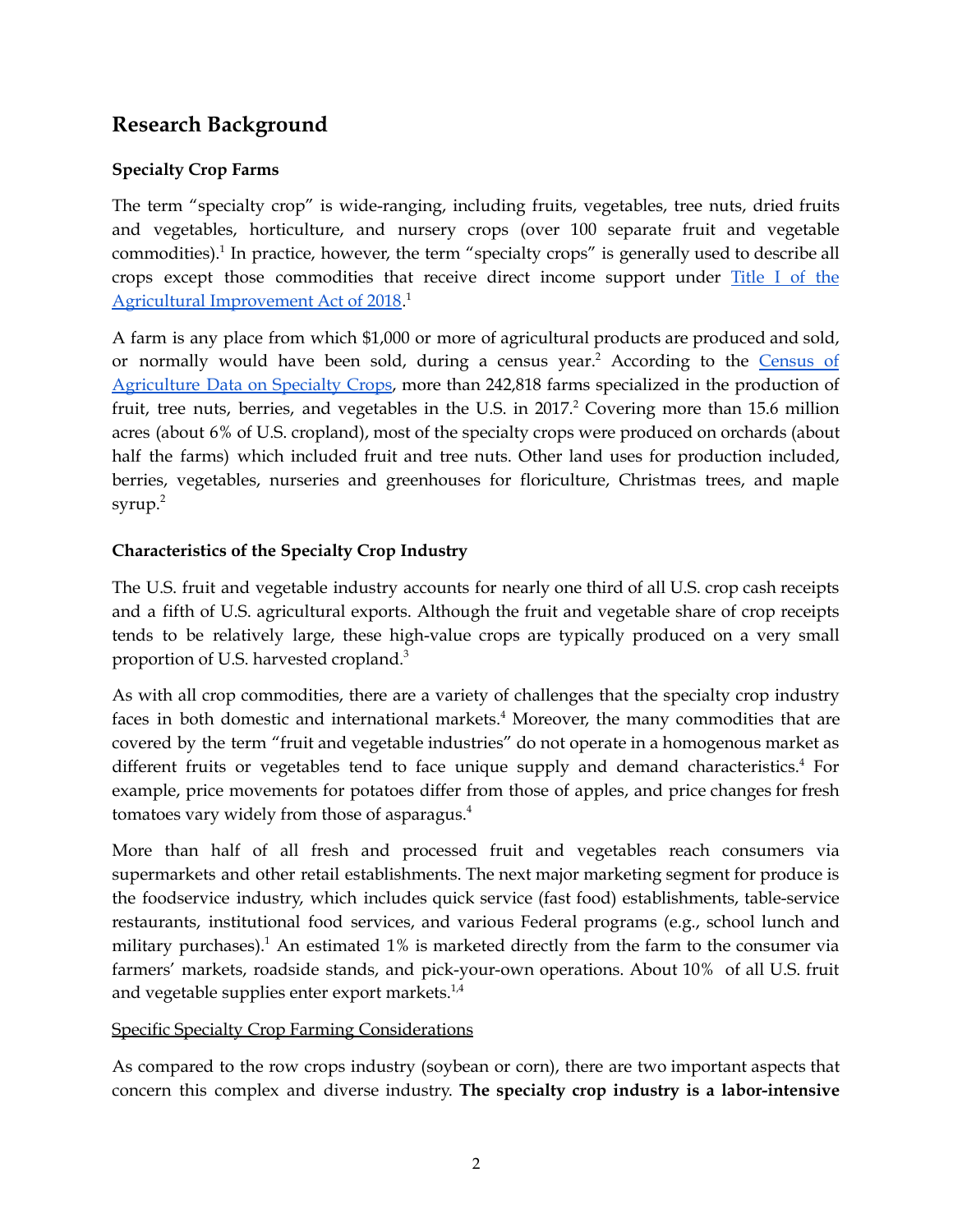## **Research Background**

#### **Specialty Crop Farms**

The term "specialty crop" is wide-ranging, including fruits, vegetables, tree nuts, dried fruits and vegetables, horticulture, and nursery crops (over 100 separate fruit and vegetable commodities). 1 In practice, however, the term "specialty crops" is generally used to describe all crops except those commodities that receive direct income support under [Title](https://www.congress.gov/bill/115th-congress/house-bill/2/text) I of the Agricultural [Improvement](https://www.congress.gov/bill/115th-congress/house-bill/2/text) Act of 2018.<sup>1</sup>

A farm is any place from which \$1,000 or more of agricultural products are produced and sold, or normally would have been sold, during a census year.<sup>2</sup> According to the [Census](https://www.nass.usda.gov/Publications/AgCensus/2017/Online_Resources/Specialty_Crops/SCROPS.pdf) of [Agriculture](https://www.nass.usda.gov/Publications/AgCensus/2017/Online_Resources/Specialty_Crops/SCROPS.pdf) Data on Specialty Crops, more than 242,818 farms specialized in the production of fruit, tree nuts, berries, and vegetables in the U.S. in 2017. <sup>2</sup> Covering more than 15.6 million acres (about 6% of U.S. cropland), most of the specialty crops were produced on orchards (about half the farms) which included fruit and tree nuts. Other land uses for production included, berries, vegetables, nurseries and greenhouses for floriculture, Christmas trees, and maple syrup. 2

#### **Characteristics of the Specialty Crop Industry**

The U.S. fruit and vegetable industry accounts for nearly one third of all U.S. crop cash receipts and a fifth of U.S. agricultural exports. Although the fruit and vegetable share of crop receipts tends to be relatively large, these high-value crops are typically produced on a very small proportion of U.S. harvested cropland. 3

As with all crop commodities, there are a variety of challenges that the specialty crop industry faces in both domestic and international markets.<sup>4</sup> Moreover, the many commodities that are covered by the term "fruit and vegetable industries" do not operate in a homogenous market as different fruits or vegetables tend to face unique supply and demand characteristics.<sup>4</sup> For example, price movements for potatoes differ from those of apples, and price changes for fresh tomatoes vary widely from those of asparagus. 4

More than half of all fresh and processed fruit and vegetables reach consumers via supermarkets and other retail establishments. The next major marketing segment for produce is the foodservice industry, which includes quick service (fast food) establishments, table-service restaurants, institutional food services, and various Federal programs (e.g., school lunch and military purchases). <sup>1</sup> An estimated 1% is marketed directly from the farm to the consumer via farmers' markets, roadside stands, and pick-your-own operations. About 10% of all U.S. fruit and vegetable supplies enter export markets. $^{1,4}$ 

#### Specific Specialty Crop Farming Considerations

As compared to the row crops industry (soybean or corn), there are two important aspects that concern this complex and diverse industry. **The specialty crop industry is a labor-intensive**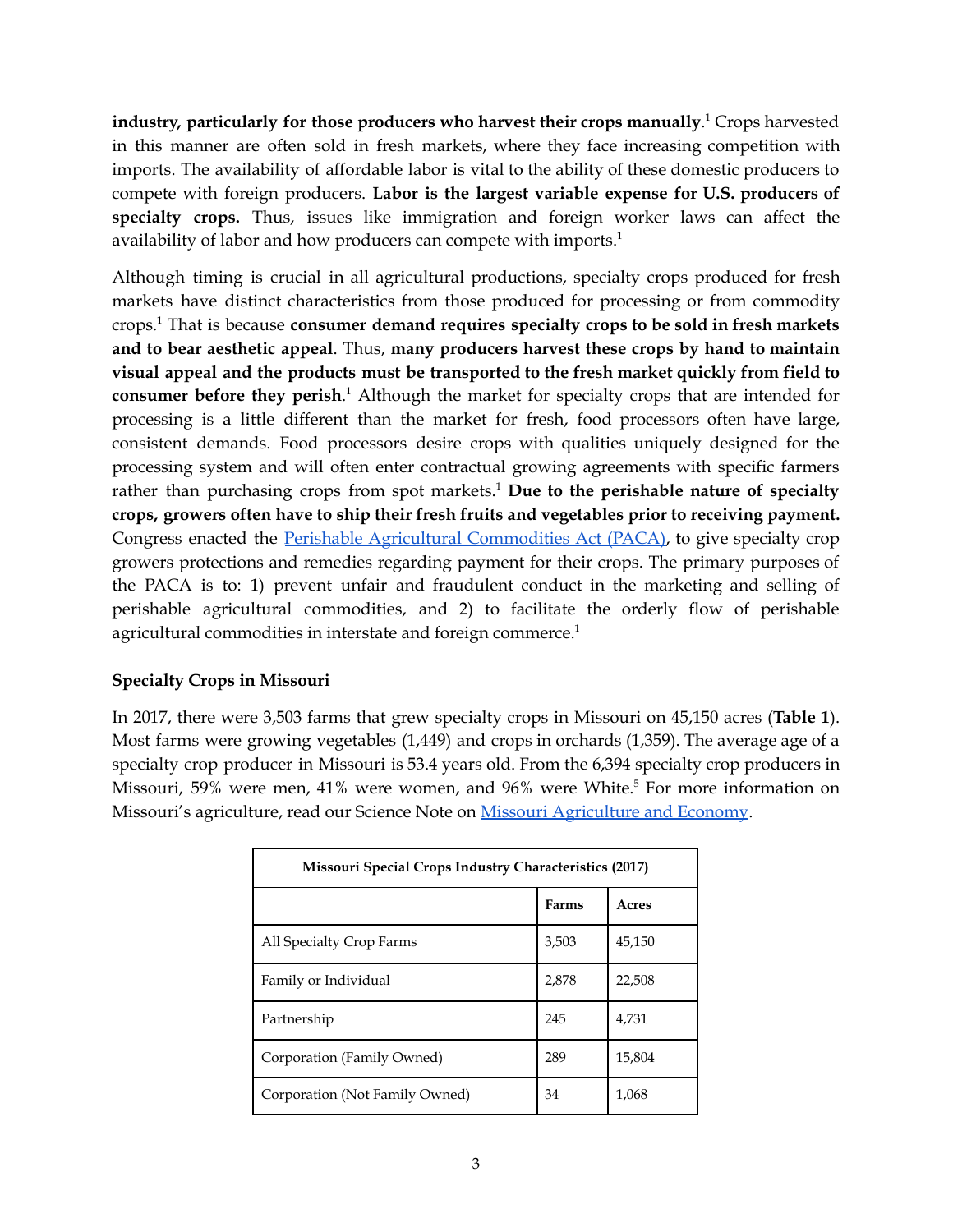**industry, particularly for those producers who harvest their crops manually**. <sup>1</sup> Crops harvested in this manner are often sold in fresh markets, where they face increasing competition with imports. The availability of affordable labor is vital to the ability of these domestic producers to compete with foreign producers. **Labor is the largest variable expense for U.S. producers of specialty crops.** Thus, issues like immigration and foreign worker laws can affect the availability of labor and how producers can compete with imports. 1

Although timing is crucial in all agricultural productions, specialty crops produced for fresh markets have distinct characteristics from those produced for processing or from commodity crops. <sup>1</sup> That is because **consumer demand requires specialty crops to be sold in fresh markets and to bear aesthetic appeal**. Thus, **many producers harvest these crops by hand to maintain visual appeal and the products must be transported to the fresh market quickly from field to consumer before they perish**. <sup>1</sup> Although the market for specialty crops that are intended for processing is a little different than the market for fresh, food processors often have large, consistent demands. Food processors desire crops with qualities uniquely designed for the processing system and will often enter contractual growing agreements with specific farmers rather than purchasing crops from spot markets. <sup>1</sup> **Due to the perishable nature of specialty crops, growers often have to ship their fresh fruits and vegetables prior to receiving payment.** Congress enacted the Perishable Agricultural [Commodities](https://www.ams.usda.gov/rules-regulations/paca) Act (PACA), to give specialty crop growers protections and remedies regarding payment for their crops. The primary purposes of the PACA is to: 1) prevent unfair and fraudulent conduct in the marketing and selling of perishable agricultural commodities, and 2) to facilitate the orderly flow of perishable agricultural commodities in interstate and foreign commerce. 1

#### **Specialty Crops in Missouri**

In 2017, there were 3,503 farms that grew specialty crops in Missouri on 45,150 acres (**Table 1**). Most farms were growing vegetables (1,449) and crops in orchards (1,359). The average age of a specialty crop producer in Missouri is 53.4 years old. From the 6,394 specialty crop producers in Missouri, 59% were men, 41% were women, and 96% were White. <sup>5</sup> For more information on Missouri's agriculture, read our Science Note on Missouri [Agriculture](https://mostpolicyinitiative.org/science-note/missouri-agriculture-economy/) and Economy.

| Missouri Special Crops Industry Characteristics (2017) |              |        |  |
|--------------------------------------------------------|--------------|--------|--|
|                                                        | <b>Farms</b> | Acres  |  |
| All Specialty Crop Farms                               | 3,503        | 45,150 |  |
| Family or Individual                                   | 2,878        | 22,508 |  |
| Partnership                                            | 245          | 4.731  |  |
| Corporation (Family Owned)                             | 289          | 15,804 |  |
| Corporation (Not Family Owned)                         | 34           | 1,068  |  |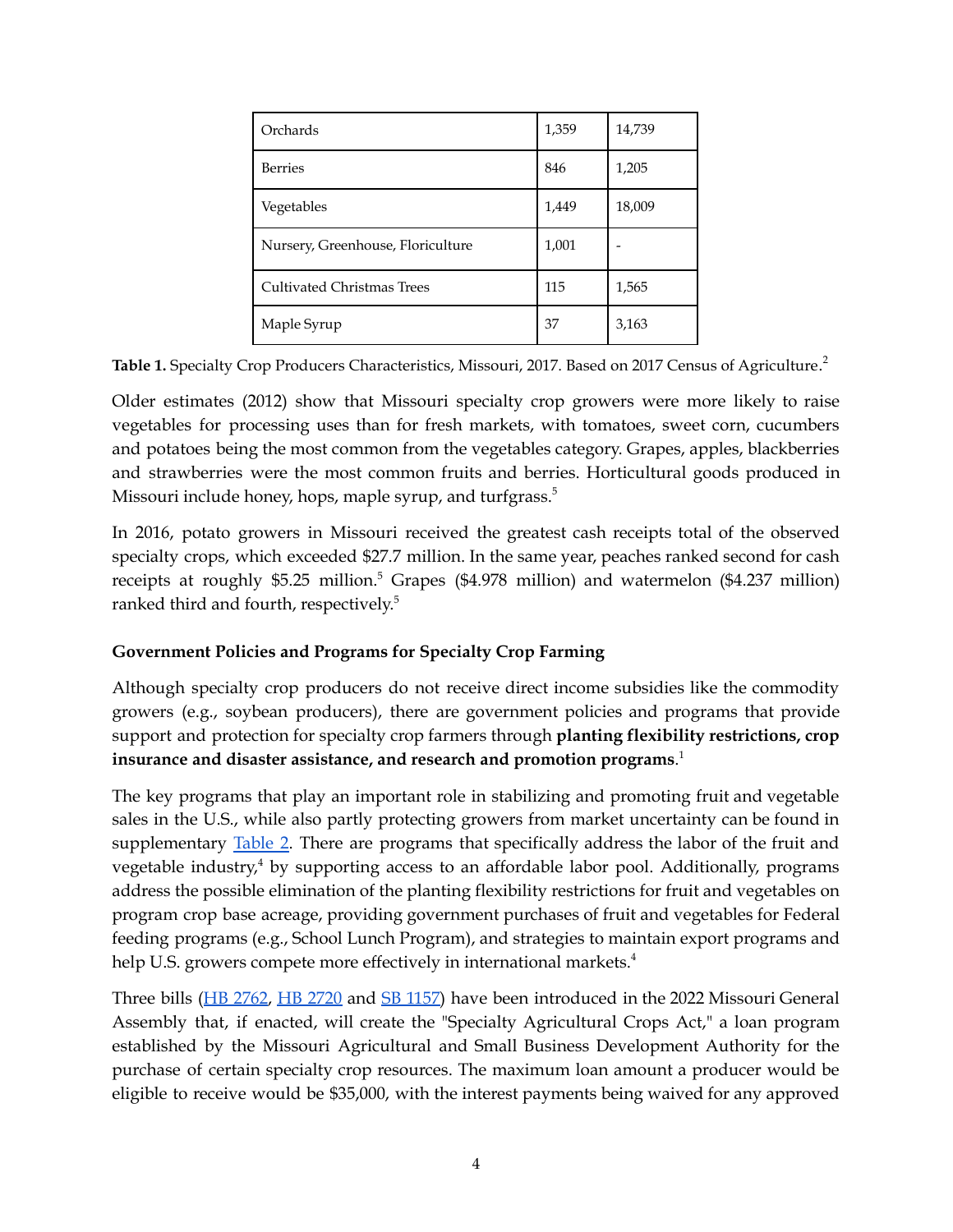| Orchards                          | 1,359 | 14,739 |
|-----------------------------------|-------|--------|
| <b>Berries</b>                    | 846   | 1,205  |
| Vegetables                        | 1,449 | 18,009 |
| Nursery, Greenhouse, Floriculture | 1,001 |        |
| <b>Cultivated Christmas Trees</b> | 115   | 1,565  |
| Maple Syrup                       | 37    | 3,163  |

**Table 1.** Specialty Crop Producers Characteristics, Missouri, 2017. Based on 2017 Census of Agriculture. 2

Older estimates (2012) show that Missouri specialty crop growers were more likely to raise vegetables for processing uses than for fresh markets, with tomatoes, sweet corn, cucumbers and potatoes being the most common from the vegetables category. Grapes, apples, blackberries and strawberries were the most common fruits and berries. Horticultural goods produced in Missouri include honey, hops, maple syrup, and turfgrass.<sup>5</sup>

In 2016, potato growers in Missouri received the greatest cash receipts total of the observed specialty crops, which exceeded \$27.7 million. In the same year, peaches ranked second for cash receipts at roughly \$5.25 million. <sup>5</sup> Grapes (\$4.978 million) and watermelon (\$4.237 million) ranked third and fourth, respectively. 5

#### **Government Policies and Programs for Specialty Crop Farming**

Although specialty crop producers do not receive direct income subsidies like the commodity growers (e.g., soybean producers), there are government policies and programs that provide support and protection for specialty crop farmers through **planting flexibility restrictions, crop insurance and disaster assistance, and research and promotion programs**. 1

The key programs that play an important role in stabilizing and promoting fruit and vegetable sales in the U.S., while also partly protecting growers from market uncertainty can be found in supplementary [Table](https://mostpolicyinitiative.org/wp-content/uploads/2022/03/MOST-Specialty-Crop-Table.pdf) 2. There are programs that specifically address the labor of the fruit and vegetable industry, <sup>4</sup> by supporting access to an affordable labor pool. Additionally, programs address the possible elimination of the planting flexibility restrictions for fruit and vegetables on program crop base acreage, providing government purchases of fruit and vegetables for Federal feeding programs (e.g., School Lunch Program), and strategies to maintain export programs and help U.S. growers compete more effectively in international markets.<sup>4</sup>

Three bills (HB [2762](https://house.mo.gov/Bill.aspx?bill=HB2762&year=2022&code=R), HB [2720](https://house.mo.gov/Bill.aspx?bill=HB2720&year=2022&code=R) and SB [1157\)](https://www.senate.mo.gov/22info/BTS_Web/Bill.aspx?SessionType=R&BillID=76733240) have been introduced in the 2022 Missouri General Assembly that, if enacted, will create the "Specialty Agricultural Crops Act," a loan program established by the Missouri Agricultural and Small Business Development Authority for the purchase of certain specialty crop resources. The maximum loan amount a producer would be eligible to receive would be \$35,000, with the interest payments being waived for any approved